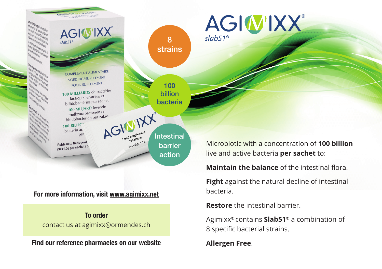

## **For more information, visit www.agimixx.net**

**To order** contact us at agimixx@ormendes.ch

**Find our reference pharmacies on our website**

Microbiotic with a concentration of **100 billion** live and active bacteria **per sachet** to:

**Maintain the balance** of the intestinal flora.

**Fight** against the natural decline of intestinal bacteria.

**Restore** the intestinal barrier.

AGIWIXX®

Agimixx® contains **Slab51**® a combination of 8 specific bacterial strains.

**Allergen Free**.